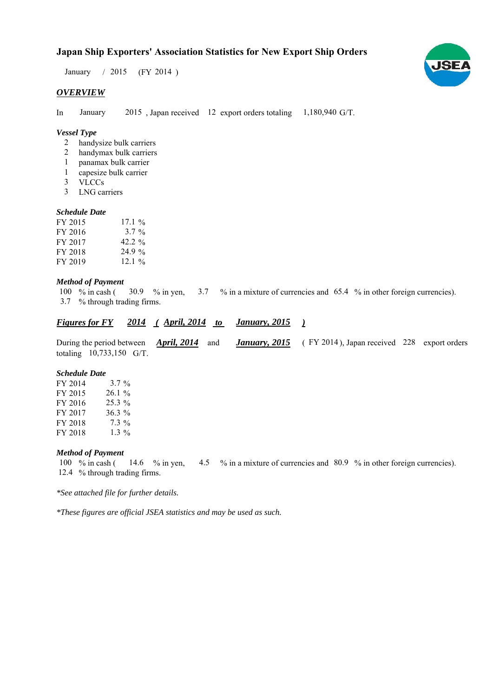# **Japan Ship Exporters' Association Statistics for New Export Ship Orders**

January / 2015 (FY 2014)

### *OVERVIEW*

In January  $2015$ , Japan received 12 export orders totaling  $1,180,940$  G/T. January

# *Vessel Type*

- handysize bulk carriers 2
- handymax bulk carriers 2
- panamax bulk carrier 1
- capesize bulk carrier 1
- VLCCs 3
- LNG carriers 3

# *Schedule Date*

| FY 2015 | $17.1\%$  |
|---------|-----------|
| FY 2016 | $3.7 \%$  |
| FY 2017 | 42.2 $\%$ |
| FY 2018 | 24.9 %    |
| FY 2019 | $12.1\%$  |

# *Method of Payment*

% in cash ( $\frac{30.9}{8}$  in yen,  $\frac{3.7}{8}$  % in a mixture of currencies and 65.4 % in other foreign currencies). % through trading firms. 3.7 100  $%$  in cash ( 30.9 % in yen,

#### *<u>Figures for FY 2014 (April, 2014 to January, 2015)</u> January, 2015*

During the period between **April, 2014** and **January, 2015** (FY 2014), Japan received 228 export orders totaling 10,733,150 G/T. *April, 2014* and *January, 2015* 

#### *Schedule Date*

| $3.7 \%$ |
|----------|
| 26.1%    |
| $25.3\%$ |
| 36.3 %   |
| $7.3\%$  |
| 1.3 $\%$ |
|          |

#### *Method of Payment*

% in cash ( $\frac{14.6}{8}$  % in yen,  $\frac{4.5}{8}$  % in a mixture of currencies and 80.9 % in other foreign currencies). 12.4 % through trading firms. 100  $\%$  in cash (

*\*See attached file for further details.*

*\*These figures are official JSEA statistics and may be used as such.*

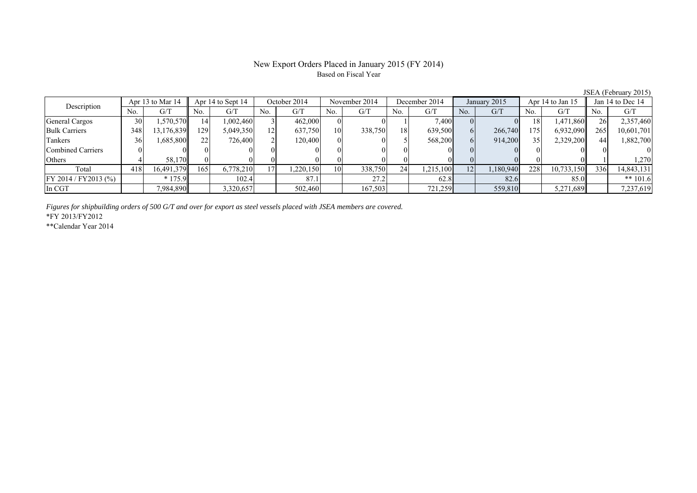# New Export Orders Placed in January 2015 (FY 2014) Based on Fiscal Year

JSEA (February 2015)

| Apr 13 to Mar 14<br>Description |     | Apr 14 to Sept 14 |     | October 2014 |     | November 2014 |     | December 2014 |                | January 2015 |                | Apr 14 to Jan 15 |      | Jan 14 to Dec 14 |     |            |
|---------------------------------|-----|-------------------|-----|--------------|-----|---------------|-----|---------------|----------------|--------------|----------------|------------------|------|------------------|-----|------------|
|                                 | No. | G/T               | No. | G/T          | No. | G/T           | No. | G/T           | N <sub>0</sub> | G/T          | N <sub>0</sub> | G/T              | No.  | G/T              | No. | G/T        |
| General Cargos                  | 30  | .570,570          | 4   | 1,002,460    |     | 462,000       |     |               |                | 7,400        |                |                  | 18   | 1,471,860        |     | 2,357,460  |
| <b>Bulk Carriers</b>            | 348 | 13,176,839        | 129 | 5,049,350    | 12  | 637,750       | 10  | 338,750       | 18             | 639,500      | 61             | 266,740          | 1751 | 6,932,090        | 265 | 10,601,701 |
| Tankers                         | 36  | .685,800          | 22  | 726,400      |     | 120.400       |     |               |                | 568,200      | 61             | 914,200          | 35   | 2,329,200        |     | 1,882,700  |
| <b>Combined Carriers</b>        |     |                   |     |              |     |               |     |               |                |              |                |                  |      |                  |     |            |
| Others                          |     | 58.170            |     |              |     |               |     |               |                |              |                |                  |      |                  |     | 1,270      |
| Total                           | 418 | 16,491,379        | 165 | 6,778,210    |     | ,220,150      | 10  | 338,750       | 24             | 1,215,100    | 12             | 1,180,940        | 228  | 10,733,150       | 336 | 14,843,131 |
| FY 2014 / FY 2013 (%)           |     | $*175.9$          |     | 102.4        |     | 87.1          |     | 27.2          |                | 62.8         |                | 82.6             |      | 85.0             |     | ** $101.6$ |
| In CGT                          |     | 7,984,890         |     | 3,320,657    |     | 502,460       |     | 167,503       |                | 721,259      |                | 559,810          |      | 5,271,689        |     | 7,237,619  |

*Figures for shipbuilding orders of 500 G/T and over for export as steel vessels placed with JSEA members are covered.*

\*FY 2013/FY2012

\*\*Calendar Year 2014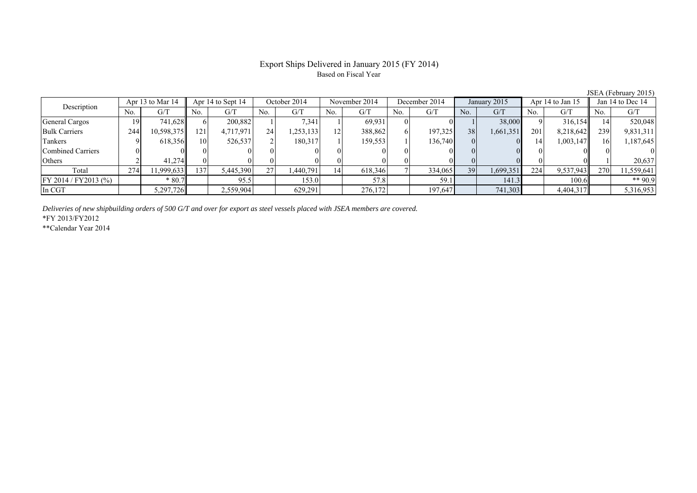# Export Ships Delivered in January 2015 (FY 2014) Based on Fiscal Year

| Description          |     | Apr 13 to Mar 14 |     | Apr 14 to Sept 14 |     | October 2014 |                 | November 2014 |     | December 2014 |     | January 2015 |     | Apr 14 to Jan 15 |      | Jan 14 to Dec 14 |
|----------------------|-----|------------------|-----|-------------------|-----|--------------|-----------------|---------------|-----|---------------|-----|--------------|-----|------------------|------|------------------|
|                      | No. | G/T              | No. | G/T               | No. | G/T          | No.             | G/T           | No. | G/T           | No. | G/T          | No. | G/T              | No.  | G/T              |
| General Cargos       | 19  | 741,628          | h.  | 200,882           |     | 7.341        |                 | 69,931        |     |               |     | 38,000       |     | 316,154          |      | 520,048          |
| <b>Bulk Carriers</b> | 244 | 10,598,375       | 121 | 4,717,971         | 24  | .253.133     | 12 <sup>1</sup> | 388,862       |     | 197,325       | 38  | 1,661,351    | 201 | 8,218,642        | 239  | 9,831,311        |
| Tankers              |     | 618,356          | 10  | 526,537           |     | 180,317      |                 | 159,553       |     | 136,740       |     |              | 141 | 1,003,147        | 16 I | 1,187,645        |
| Combined Carriers    |     |                  |     |                   |     |              |                 |               |     |               |     |              |     |                  |      |                  |
| Others               |     | 41.274           |     |                   |     |              |                 |               |     |               |     |              |     |                  |      | 20.637           |
| Total                | 274 | 1,999,633        | 137 | 5,445,390         | 27  | 1,440,791    | 14              | 618,346       |     | 334,065       | 39  | 1,699,351    | 224 | 9,537,943        | 270  | 11,559,641       |
| FY 2014 / FY2013 (%) |     | $*80.7$          |     | 95.5              |     | 153.0        |                 | 57.8          |     | 59.1          |     | 141.3        |     | 100.6            |      | $** 909$         |
| In CGT               |     | 5,297,726        |     | 2,559,904         |     | 629,291      |                 | 276,172       |     | 197,647       |     | 741,303      |     | 4,404,317        |      | 5,316,953        |

*Deliveries of new shipbuilding orders of 500 G/T and over for export as steel vessels placed with JSEA members are covered.*

\*FY 2013/FY2012

\*\*Calendar Year 2014

JSEA (February 2015)